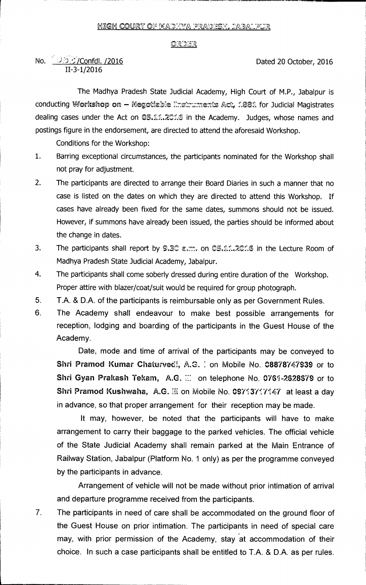## <u>ORDER</u>

## No.  $\sqrt{3.5}$ :/Confdl. /2016 II-3-1/2016

The Madhya Pradesh State Judicial Academy, High Court of M.P., Jabalpur is conducting Workshop on - Negotiable Enstruments Act, 1881 for Judicial Magistrates dealing cases under the Act on  $\mathbb{O}5.11.2\mathbb{O}16$  in the Academy. Judges, whose names and postings figure in the endorsement, are directed to attend the aforesaid Workshop.

Conditions for the Workshop:

- 1. Barring exceptional circumstances, the participants nominated for the Workshop shall not pray for adjustment.
- 2. The participants are directed to arrange their Board Diaries in such a manner that no case is listed on the dates on which they are directed to attend this Workshop. If cases have already been fixed for the same dates, summons should not be issued. However, if summons have already been issued, the parties should be informed about the change in dates.
- 3. The participants shall report by 9.30 a.m. on 05.11.2016 in the Lecture Room of Madhya Pradesh State Judicial Academy, Jabalpur.
- 4. The participants shall come soberly dressed during entire duration of the Workshop. Proper attire with blazer/coat/suit would be required for group photograph.
- 5. T.A. & D.A. of the participants is reimbursable only as per Government Rules.
- 6. The Academy shall endeavour to make best possible arrangements for reception, lodging and boarding of the participants in the Guest House of the Academy.

Date, mode and time of arrival of the participants may be conveyed to Shri Pramod Kumar Chaturvedi, A.G. 1 on Mobile No. 08878747939 or to Shri Gyan Prakash Tekam, A.G. ... on telephone No. 0761-2628679 or to Shri Pramod Kushwaha, A.G. Iii on Mobile No. 09713717147 at least a day in advance, so that proper arrangement for their reception may be made.

It may, however, be noted that the participants will have to make arrangement to carry their baggage to the parked vehicles. The official vehicle of the State Judicial Academy shall remain parked at the Main Entrance of Railway Station, Jabalpur (Platform No. 1 only) as per the programme conveyed by the participants in advance.

Arrangement of vehicle will not be made without prior intimation of arrival and departure programme received from the participants.

7. The participants in need of care shall be accommodated on the ground floor of the Guest House on prior intimation. The participants in need of special care may, with prior permission of the Academy, stay at accommodation of their choice. In such a case participants shall be entitled to T.A. & D.A. as per rules.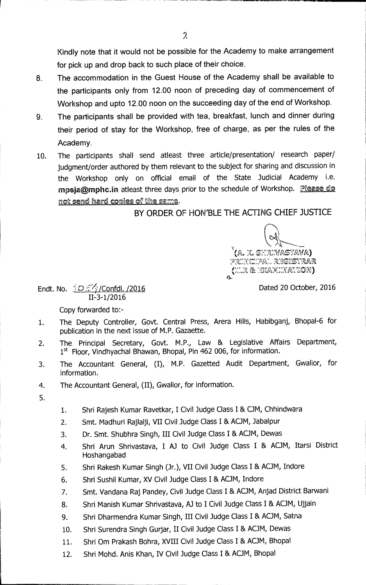**Kindly note that it would not be possible for the Academy to make arrangement for pick up and drop back to such place of their choice.** 

- **8. The accommodation in the Guest House of the Academy shall be available to the participants only from 12.00 noon of preceding day of commencement of Workshop and upto 12.00 noon on the succeeding day of the end of Workshop.**
- **9. The participants shall be provided with tea, breakfast, lunch and dinner during their period of stay for the Workshop, free of charge, as per the rules of the Academy.**
- **10. The participants shall send atleast three article/presentation/ research paper/ judgment/order authored by them relevant to the subject for sharing and discussion in the Workshop only on official email of the State Judicial Academy i.e. rnpsja@mphc.in** atleast three days prior to the schedule of Workshop. Please do not send hard copies of the same.

**BY ORDER OF HON'BLE THE ACTING CHIEF JUSTICE** 

(A. K. SHR:VASTAVA) prixcipal registrar  $EXA\mathcal{N}$ iton). 6-

**Endt. No.**  $\frac{1}{2}O\frac{5\sqrt{3}}{2}$ /Confdl. /2016 **II-3-1/2016** 

**Copy forwarded to:-** 

- **1. The Deputy Controller, Govt. Central Press, Arera Hills, Habibganj, Bhopal-6 for publication in the next issue of M.P. Gazaette.**
- **2. The Principal Secretary, Govt. M.P., Law & Legislative Affairs Department, 1st Floor, Vindhyachal Bhawan, Bhopal, Pin 462 006, for information.**
- **3. The Accountant General, (I), M.P. Gazetted Audit Department, Gwalior, for information.**
- **4. The Accountant General, (II), Gwalior, for information.**
- **5.**
- **1. Shri Rajesh Kumar Ravetkar, I Civil Judge Class I & OM, Chhindwara**
- **2. Smt. Madhuri Rajlalji, VII Civil Judge Class I & ADM, Jabalpur**
- **3. Dr. Smt. Shubhra Singh, III Civil Judge Class I & ADM, Dewas**
- **4. Shri Arun Shrivastava, I AJ to Civil Judge Class I & ACJM, Itarsi District Hoshangabad**
- **5. Shri Rakesh Kumar Singh (Jr.), VII Civil Judge Class I & ACJM, Indore**
- **6. Shri Sushil Kumar, XV Civil Judge Class I & ACJM, Indore**
- **7. Smt. Vandana Raj Pandey, Civil Judge Class I & ADM, Anjad District Barwani**
- **8. Shri Manish Kumar Shrivastava, AJ to I Civil Judge Class I & AC.JM, Ujjain**
- **9. Shri Dharmendra Kumar Singh, III Civil Judge Class I & ACJM, Satna**
- 10. Shri Surendra Singh Gurjar, II Civil Judge Class I & ACJM, Dewas
- 11. Shri Om Prakash Bohra, XVIII Civil Judge Class I & ACJM, Bhopal
- 12. Shri Mohd. Anis Khan, IV Civil Judge Class I & ACJM, Bhopal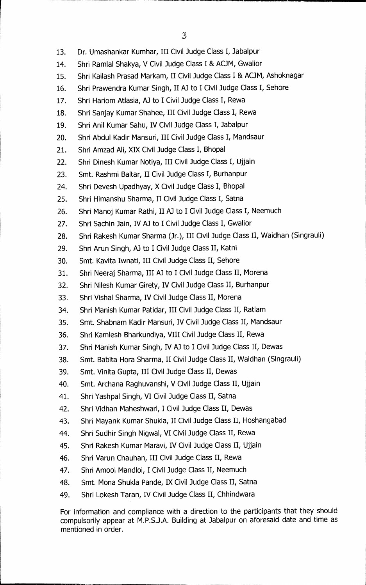- **13. Dr. Umashankar Kumhar, III Civil Judge Class I, Jabalpur**
- 14. Shri Ramlal Shakya, V Civil Judge Class I & ACJM, Gwalior
- 15. Shri Kailash Prasad Markam, II Civil Judge Class I & ACJM, Ashoknagar
- **16. Shri Prawendra Kumar Singh, II Al to I Civil Judge Class I, Sehore**
- **17. Shri Hariom Atlasia, Al to I Civil Judge Class I, Rewa**
- **18. Shri Sanjay Kumar Shahee, III Civil Judge Class I, Rewa**
- **19. Shri Anil Kumar Sahu, IV Civil Judge Class I, Jabalpur**
- **20. Shri Abdul Kadir Mansur', III Civil Judge Class I, Mandsaur**
- **21. Shri Amzad Ali, XIX Civil Judge Class I, Bhopal**
- **22. Shri Dinesh Kumar Notiya, III Civil Judge Class I, Ujjain**
- 23. Smt. Rashmi Baltar, II Civil Judge Class I, Burhanpur
- **24. Shri Devesh Upadhyay, X Civil Judge Class I, Bhopal**
- **25. Shri Himanshu Sharma, II Civil Judge Class I, Satna**
- 26. Shri Manoj Kumar Rathi, II AJ to I Civil Judge Class I, Neemuch
- **27. Shri Sachin Jain, IV AJ to I Civil Judge Class I, Gwalior**
- **28. Shri Rakesh Kumar Sharma (Jr.), III Civil Judge Class II, Waidhan (Singrauli)**
- 29. Shri Arun Singh, AJ to I Civil Judge Class II, Katni
- **30. Smt. Kavita Iwnati, III Civil Judge Class II, Sehore**
- 31. Shri Neeraj Sharma, III AJ to I Civil Judge Class II, Morena
- **32. Shri Nilesh Kumar Girety, IV Civil Judge Class II, Burhanpur**
- **33. Shri Vishal Sharma, IV Civil Judge Class II, Morena**
- **34. Shri Manish Kumar Patidar, III Civil Judge Class II, Ratlam**
- **35. Smt. Shabnam Kadir Mansur', IV Civil Judge Class II, Mandsaur**
- **36. Shri Kamlesh Bharkundiya, VIII Civil Judge Class II, Rewa**
- **37. Shri Manish Kumar Singh, IV AJ to I Civil Judge Class II, Dewas**
- **38. Smt. Babita Hora Sharma, II Civil Judge Class II, Waidhan (Singrauli)**
- **39. Smt. Vinita Gupta, III Civil Judge Class II, Dewas**
- **40. Smt. Archana Raghuvanshi, V Civil Judge Class II, Ujjain**
- **41. Shri Yashpal Singh, VI Civil Judge Class II, Satna**
- **42. Shri Vidhan Maheshwari, I Civil Judge Class II, Dewas**
- **43. Shri Mayank Kumar Shukla, II Civil Judge Class II, Hoshangabad**
- **44. Shri Sudhir Singh Nigwal, VI Civil Judge Class II, Rewa**
- **45. Shri Rakesh Kumar Maravi, IV Civil Judge Class II, Ujjain**
- **46. Shri Varun Chauhan, III Civil Judge Class II, Rewa**
- **47. Shri Amool Mandloi, I Civil Judge Class II, Neemuch**
- **48. Smt. Mona Shukla Pande, IX Civil Judge Class II, Satna**
- **49. Shri Lokesh Taran, IV Civil Judge Class II, Chhindwara**

**For information and compliance with a direction to the participants that they should compulsorily appear at M.P.S.J.A. Building at Jabalpur on aforesaid date and time as mentioned in order.**